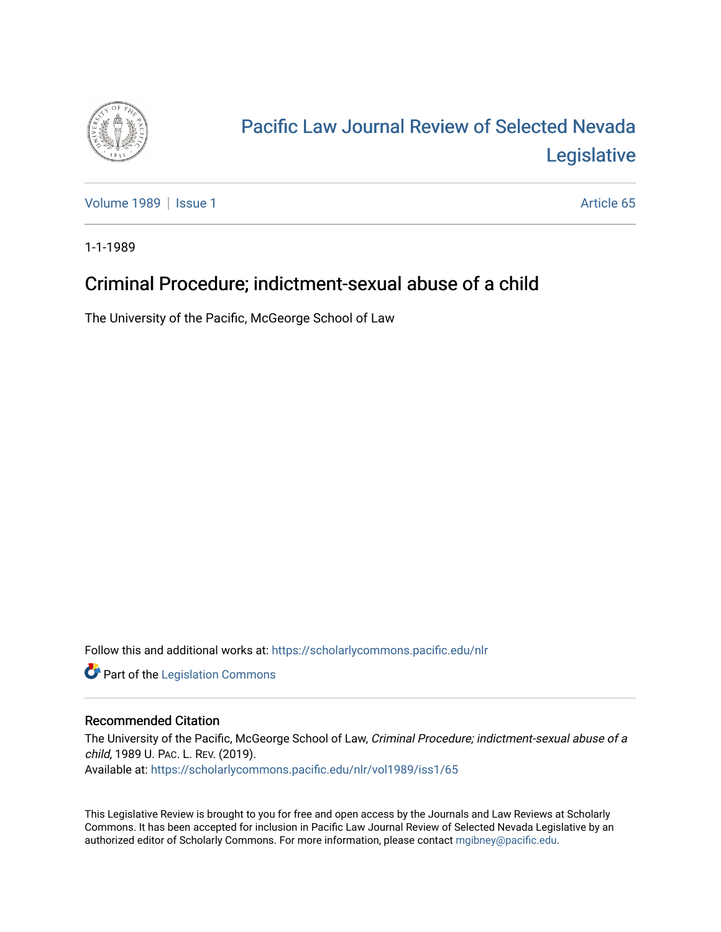

## [Pacific Law Journal Review of Selected Nevada](https://scholarlycommons.pacific.edu/nlr)  [Legislative](https://scholarlycommons.pacific.edu/nlr)

[Volume 1989](https://scholarlycommons.pacific.edu/nlr/vol1989) | [Issue 1](https://scholarlycommons.pacific.edu/nlr/vol1989/iss1) Article 65

1-1-1989

## Criminal Procedure; indictment-sexual abuse of a child

The University of the Pacific, McGeorge School of Law

Follow this and additional works at: [https://scholarlycommons.pacific.edu/nlr](https://scholarlycommons.pacific.edu/nlr?utm_source=scholarlycommons.pacific.edu%2Fnlr%2Fvol1989%2Fiss1%2F65&utm_medium=PDF&utm_campaign=PDFCoverPages) 

**Part of the [Legislation Commons](http://network.bepress.com/hgg/discipline/859?utm_source=scholarlycommons.pacific.edu%2Fnlr%2Fvol1989%2Fiss1%2F65&utm_medium=PDF&utm_campaign=PDFCoverPages)** 

## Recommended Citation

The University of the Pacific, McGeorge School of Law, Criminal Procedure; indictment-sexual abuse of a child, 1989 U. PAC. L. REV. (2019). Available at: [https://scholarlycommons.pacific.edu/nlr/vol1989/iss1/65](https://scholarlycommons.pacific.edu/nlr/vol1989/iss1/65?utm_source=scholarlycommons.pacific.edu%2Fnlr%2Fvol1989%2Fiss1%2F65&utm_medium=PDF&utm_campaign=PDFCoverPages)

This Legislative Review is brought to you for free and open access by the Journals and Law Reviews at Scholarly Commons. It has been accepted for inclusion in Pacific Law Journal Review of Selected Nevada Legislative by an authorized editor of Scholarly Commons. For more information, please contact [mgibney@pacific.edu](mailto:mgibney@pacific.edu).